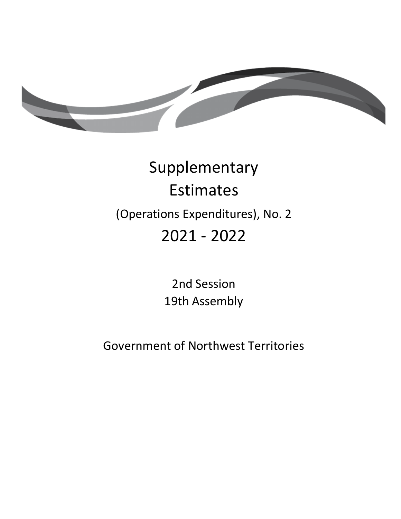

# Supplementary Estimates (Operations Expenditures), No. 2 2021 - 2022

2nd Session 19th Assembly

Government of Northwest Territories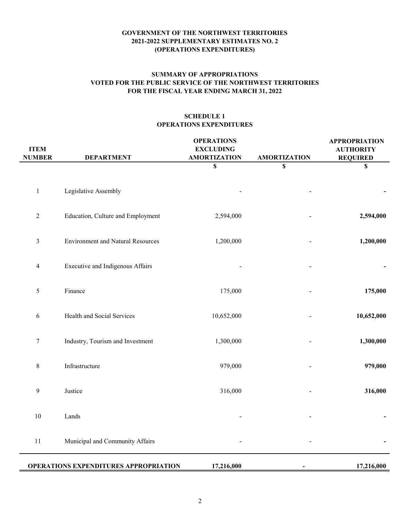# **FOR THE FISCAL YEAR ENDING MARCH 31, 2022 SUMMARY OF APPROPRIATIONS VOTED FOR THE PUBLIC SERVICE OF THE NORTHWEST TERRITORIES**

# **SCHEDULE 1 OPERATIONS EXPENDITURES**

| <b>ITEM</b><br><b>NUMBER</b> | <b>DEPARTMENT</b>                            | <b>OPERATIONS</b><br><b>EXCLUDING</b><br><b>AMORTIZATION</b> | <b>AMORTIZATION</b>       | <b>APPROPRIATION</b><br><b>AUTHORITY</b><br><b>REQUIRED</b> |
|------------------------------|----------------------------------------------|--------------------------------------------------------------|---------------------------|-------------------------------------------------------------|
|                              |                                              | \$                                                           | $\boldsymbol{\mathsf{S}}$ | \$                                                          |
| $\,1$                        | Legislative Assembly                         |                                                              |                           |                                                             |
| $\sqrt{2}$                   | Education, Culture and Employment            | 2,594,000                                                    |                           | 2,594,000                                                   |
| $\mathfrak{Z}$               | <b>Environment and Natural Resources</b>     | 1,200,000                                                    |                           | 1,200,000                                                   |
| $\overline{\mathcal{A}}$     | Executive and Indigenous Affairs             |                                                              |                           |                                                             |
| 5                            | Finance                                      | 175,000                                                      |                           | 175,000                                                     |
| $\epsilon$                   | Health and Social Services                   | 10,652,000                                                   |                           | 10,652,000                                                  |
| $\tau$                       | Industry, Tourism and Investment             | 1,300,000                                                    |                           | 1,300,000                                                   |
| $8\,$                        | Infrastructure                               | 979,000                                                      |                           | 979,000                                                     |
| 9                            | Justice                                      | 316,000                                                      |                           | 316,000                                                     |
| $10\,$                       | Lands                                        |                                                              |                           |                                                             |
| $11\,$                       | Municipal and Community Affairs              |                                                              |                           |                                                             |
|                              | <b>OPERATIONS EXPENDITURES APPROPRIATION</b> | 17,216,000                                                   |                           | 17,216,000                                                  |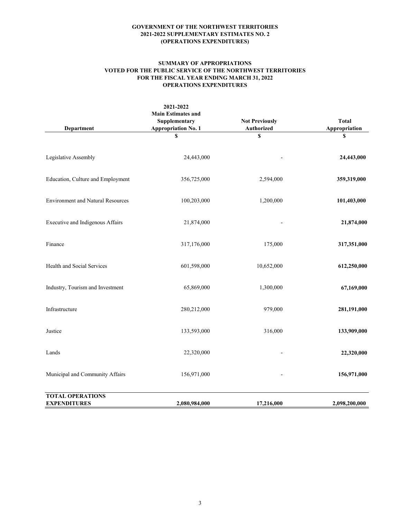#### **SUMMARY OF APPROPRIATIONS VOTED FOR THE PUBLIC SERVICE OF THE NORTHWEST TERRITORIES FOR THE FISCAL YEAR ENDING MARCH 31, 2022 OPERATIONS EXPENDITURES**

| <b>Department</b>                              | 2021-2022<br><b>Main Estimates and</b><br>Supplementary<br><b>Appropriation No. 1</b> | <b>Not Previously</b><br>Authorized | <b>Total</b><br>Appropriation |
|------------------------------------------------|---------------------------------------------------------------------------------------|-------------------------------------|-------------------------------|
|                                                | \$                                                                                    | \$                                  | \$                            |
| Legislative Assembly                           | 24,443,000                                                                            |                                     | 24,443,000                    |
| Education, Culture and Employment              | 356,725,000                                                                           | 2,594,000                           | 359,319,000                   |
| <b>Environment and Natural Resources</b>       | 100,203,000                                                                           | 1,200,000                           | 101,403,000                   |
| Executive and Indigenous Affairs               | 21,874,000                                                                            |                                     | 21,874,000                    |
| Finance                                        | 317,176,000                                                                           | 175,000                             | 317,351,000                   |
| Health and Social Services                     | 601,598,000                                                                           | 10,652,000                          | 612,250,000                   |
| Industry, Tourism and Investment               | 65,869,000                                                                            | 1,300,000                           | 67,169,000                    |
| Infrastructure                                 | 280,212,000                                                                           | 979,000                             | 281,191,000                   |
| Justice                                        | 133,593,000                                                                           | 316,000                             | 133,909,000                   |
| Lands                                          | 22,320,000                                                                            |                                     | 22,320,000                    |
| Municipal and Community Affairs                | 156,971,000                                                                           |                                     | 156,971,000                   |
| <b>TOTAL OPERATIONS</b><br><b>EXPENDITURES</b> | 2,080,984,000                                                                         | 17,216,000                          | 2,098,200,000                 |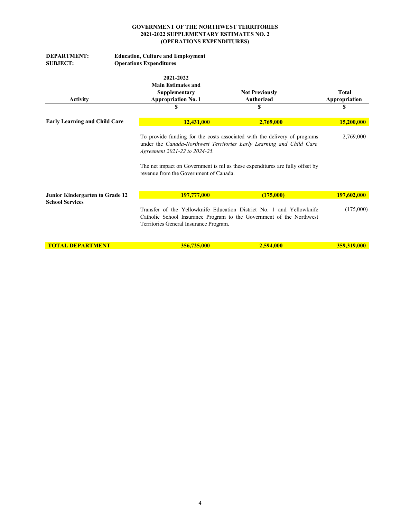| <b>DEPARTMENT:</b><br><b>SUBJECT:</b> | <b>Education, Culture and Employment</b><br><b>Operations Expenditures</b>            |                                                                                                                                                                                                                                    |                               |  |  |
|---------------------------------------|---------------------------------------------------------------------------------------|------------------------------------------------------------------------------------------------------------------------------------------------------------------------------------------------------------------------------------|-------------------------------|--|--|
| <b>Activity</b>                       | 2021-2022<br><b>Main Estimates and</b><br>Supplementary<br><b>Appropriation No. 1</b> | <b>Not Previously</b><br><b>Authorized</b>                                                                                                                                                                                         | <b>Total</b><br>Appropriation |  |  |
|                                       | \$                                                                                    | S                                                                                                                                                                                                                                  | \$                            |  |  |
| <b>Early Learning and Child Care</b>  | 12,431,000                                                                            | 2,769,000                                                                                                                                                                                                                          | 15,200,000                    |  |  |
|                                       | Agreement 2021-22 to 2024-25.<br>revenue from the Government of Canada.               | To provide funding for the costs associated with the delivery of programs<br>under the Canada-Northwest Territories Early Learning and Child Care<br>The net impact on Government is nil as these expenditures are fully offset by | 2,769,000                     |  |  |
| Junior Kindergarten to Grade 12       | 197,777,000                                                                           | (175,000)                                                                                                                                                                                                                          | 197,602,000                   |  |  |
| <b>School Services</b>                | Territories General Insurance Program.                                                | Transfer of the Yellowknife Education District No. 1 and Yellowknife<br>Catholic School Insurance Program to the Government of the Northwest                                                                                       | (175,000)                     |  |  |
| <b>TOTAL DEPARTMENT</b>               | 356,725,000                                                                           | 2.594,000                                                                                                                                                                                                                          | 359,319,000                   |  |  |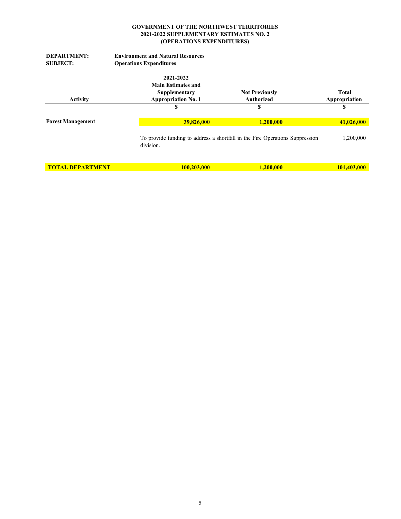| <b>DEPARTMENT:</b><br><b>SUBJECT:</b> | <b>Environment and Natural Resources</b><br><b>Operations Expenditures</b>            |                                                                              |                        |
|---------------------------------------|---------------------------------------------------------------------------------------|------------------------------------------------------------------------------|------------------------|
| <b>Activity</b>                       | 2021-2022<br><b>Main Estimates and</b><br>Supplementary<br><b>Appropriation No. 1</b> | <b>Not Previously</b><br><b>Authorized</b>                                   | Total<br>Appropriation |
|                                       | S                                                                                     | S                                                                            | S                      |
| <b>Forest Management</b>              | 39,826,000                                                                            | 1,200,000                                                                    | 41,026,000             |
|                                       | division.                                                                             | To provide funding to address a shortfall in the Fire Operations Suppression | 1,200,000              |
| <b>TOTAL DEPARTMENT</b>               | 100,203,000                                                                           | 1,200,000                                                                    | 101,403,000            |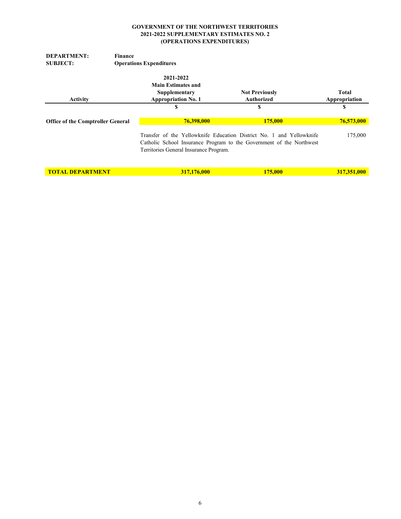| <b>DEPARTMENT:</b>                       | Finance                                                                               |                                                                                                                                              |                        |
|------------------------------------------|---------------------------------------------------------------------------------------|----------------------------------------------------------------------------------------------------------------------------------------------|------------------------|
| <b>SUBJECT:</b>                          | <b>Operations Expenditures</b>                                                        |                                                                                                                                              |                        |
| <b>Activity</b>                          | 2021-2022<br><b>Main Estimates and</b><br>Supplementary<br><b>Appropriation No. 1</b> | <b>Not Previously</b><br>Authorized                                                                                                          | Total<br>Appropriation |
|                                          | S                                                                                     | S                                                                                                                                            | S                      |
| <b>Office of the Comptroller General</b> | 76,398,000                                                                            | 175,000                                                                                                                                      | 76,573,000             |
|                                          | Territories General Insurance Program.                                                | Transfer of the Yellowknife Education District No. 1 and Yellowknife<br>Catholic School Insurance Program to the Government of the Northwest | 175,000                |
| <b>TOTAL DEPARTMENT</b>                  | 317,176,000                                                                           | 175,000                                                                                                                                      | 317,351,000            |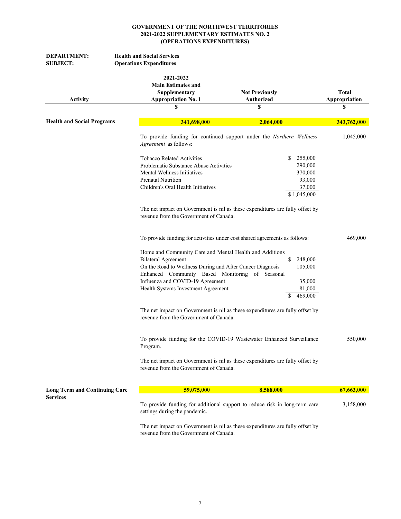| <b>DEPARTMENT:</b><br><b>SUBJECT:</b> | <b>Health and Social Services</b><br><b>Operations Expenditures</b>                                                                                                                                                                                                              |                                                                               |                                     |
|---------------------------------------|----------------------------------------------------------------------------------------------------------------------------------------------------------------------------------------------------------------------------------------------------------------------------------|-------------------------------------------------------------------------------|-------------------------------------|
| <b>Activity</b>                       | 2021-2022<br><b>Main Estimates and</b><br>Supplementary<br><b>Appropriation No. 1</b><br>\$                                                                                                                                                                                      | <b>Not Previously</b><br>Authorized<br>S                                      | <b>Total</b><br>Appropriation<br>\$ |
| <b>Health and Social Programs</b>     | 341,698,000                                                                                                                                                                                                                                                                      | 2,064,000                                                                     | 343,762,000                         |
|                                       | Agreement as follows:                                                                                                                                                                                                                                                            | To provide funding for continued support under the Northern Wellness          | 1,045,000                           |
|                                       | <b>Tobacco Related Activities</b><br>Problematic Substance Abuse Activities<br>Mental Wellness Initiatives<br>Prenatal Nutrition<br>Children's Oral Health Initiatives                                                                                                           | \$<br>255,000<br>290,000<br>370,000<br>93,000<br>37,000<br>\$1,045,000        |                                     |
|                                       | revenue from the Government of Canada.                                                                                                                                                                                                                                           | The net impact on Government is nil as these expenditures are fully offset by |                                     |
|                                       | To provide funding for activities under cost shared agreements as follows:                                                                                                                                                                                                       |                                                                               | 469,000                             |
|                                       | Home and Community Care and Mental Health and Additions<br><b>Bilateral Agreement</b><br>On the Road to Wellness During and After Cancer Diagnosis<br>Enhanced Community Based Monitoring of Seasonal<br>Influenza and COVID-19 Agreement<br>Health Systems Investment Agreement | \$<br>248,000<br>105,000<br>35,000<br>81,000<br>469,000<br>\$                 |                                     |
|                                       | revenue from the Government of Canada.                                                                                                                                                                                                                                           | The net impact on Government is nil as these expenditures are fully offset by |                                     |
|                                       | Program.                                                                                                                                                                                                                                                                         | To provide funding for the COVID-19 Wastewater Enhanced Surveillance          | 550,000                             |
|                                       | revenue from the Government of Canada.                                                                                                                                                                                                                                           | The net impact on Government is nil as these expenditures are fully offset by |                                     |
| <b>Long Term and Continuing Care</b>  | 59,075,000                                                                                                                                                                                                                                                                       | 8,588,000                                                                     | 67,663,000                          |
| <b>Services</b>                       | settings during the pandemic.                                                                                                                                                                                                                                                    | To provide funding for additional support to reduce risk in long-term care    | 3,158,000                           |
|                                       |                                                                                                                                                                                                                                                                                  | The net impact on Government is nil as these expenditures are fully offset by |                                     |

revenue from the Government of Canada.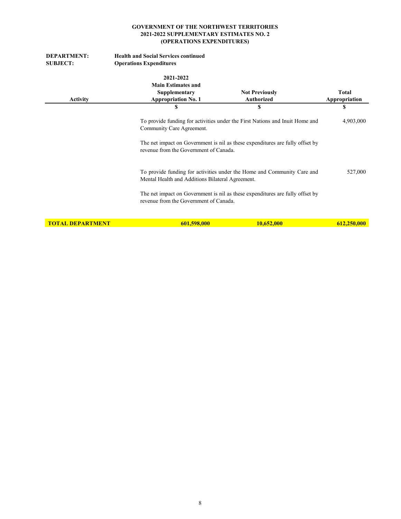| <b>DEPARTMENT:</b><br><b>SUBJECT:</b> | <b>Health and Social Services continued</b><br><b>Operations Expenditures</b>              |                                                                                                                                                               |                        |
|---------------------------------------|--------------------------------------------------------------------------------------------|---------------------------------------------------------------------------------------------------------------------------------------------------------------|------------------------|
| <b>Activity</b>                       | 2021-2022<br><b>Main Estimates and</b><br>Supplementary<br><b>Appropriation No. 1</b>      | <b>Not Previously</b><br><b>Authorized</b>                                                                                                                    | Total<br>Appropriation |
|                                       | S                                                                                          | S                                                                                                                                                             | \$                     |
|                                       | Community Care Agreement.<br>revenue from the Government of Canada.                        | To provide funding for activities under the First Nations and Inuit Home and<br>The net impact on Government is nil as these expenditures are fully offset by | 4,903,000              |
|                                       | Mental Health and Additions Bilateral Agreement.<br>revenue from the Government of Canada. | To provide funding for activities under the Home and Community Care and<br>The net impact on Government is nil as these expenditures are fully offset by      | 527,000                |
| <b>TOTAL DEPARTMENT</b>               | 601,598,000                                                                                | 10,652,000                                                                                                                                                    | 612,250,000            |
|                                       |                                                                                            |                                                                                                                                                               |                        |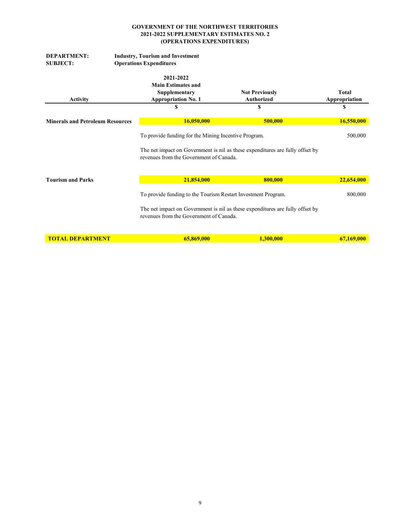| <b>DEPARTMENT:</b><br><b>SUBJECT:</b>   | <b>Industry, Tourism and Investment</b><br><b>Operations Expenditures</b>             |                                                                                                 |                                                                                                                                                |                               |
|-----------------------------------------|---------------------------------------------------------------------------------------|-------------------------------------------------------------------------------------------------|------------------------------------------------------------------------------------------------------------------------------------------------|-------------------------------|
| <b>Activity</b>                         | 2021-2022<br><b>Main Estimates and</b><br>Supplementary<br><b>Appropriation No. 1</b> |                                                                                                 | <b>Not Previously</b><br><b>Authorized</b>                                                                                                     | <b>Total</b><br>Appropriation |
|                                         | \$                                                                                    |                                                                                                 | \$                                                                                                                                             | \$                            |
| <b>Minerals and Petroleum Resources</b> |                                                                                       | 16,050,000                                                                                      | 500,000                                                                                                                                        | 16,550,000                    |
|                                         |                                                                                       | To provide funding for the Mining Incentive Program.<br>revenues from the Government of Canada. | The net impact on Government is nil as these expenditures are fully offset by                                                                  | 500,000                       |
| <b>Tourism and Parks</b>                |                                                                                       | 21,854,000                                                                                      | 800,000                                                                                                                                        | 22,654,000                    |
|                                         |                                                                                       | revenues from the Government of Canada.                                                         | To provide funding to the Tourism Restart Investment Program.<br>The net impact on Government is nil as these expenditures are fully offset by | 800,000                       |
| <b>TOTAL DEPARTMENT</b>                 |                                                                                       | 65,869,000                                                                                      | 1,300,000                                                                                                                                      | 67,169,000                    |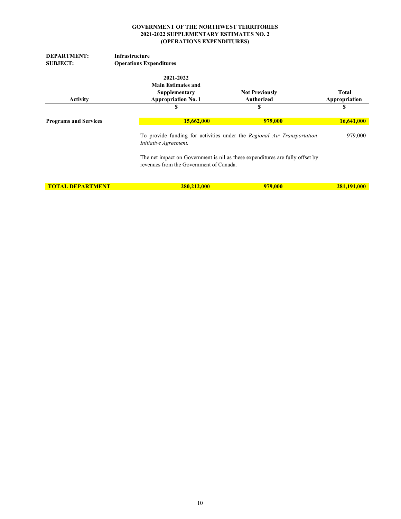| <b>DEPARTMENT:</b>           | Infrastructure                          |                                                                               |               |
|------------------------------|-----------------------------------------|-------------------------------------------------------------------------------|---------------|
| <b>SUBJECT:</b>              | <b>Operations Expenditures</b>          |                                                                               |               |
|                              | 2021-2022                               |                                                                               |               |
|                              | <b>Main Estimates and</b>               |                                                                               |               |
|                              | Supplementary                           | <b>Not Previously</b>                                                         | <b>Total</b>  |
| <b>Activity</b>              | <b>Appropriation No. 1</b>              | <b>Authorized</b>                                                             | Appropriation |
|                              | S                                       | S                                                                             | S             |
|                              |                                         |                                                                               |               |
| <b>Programs and Services</b> | 15,662,000                              | 979,000                                                                       | 16,641,000    |
|                              | Initiative Agreement.                   | To provide funding for activities under the Regional Air Transportation       | 979,000       |
|                              | revenues from the Government of Canada. | The net impact on Government is nil as these expenditures are fully offset by |               |
| <b>TOTAL DEPARTMENT</b>      | 280,212,000                             | 979,000                                                                       | 281,191,000   |